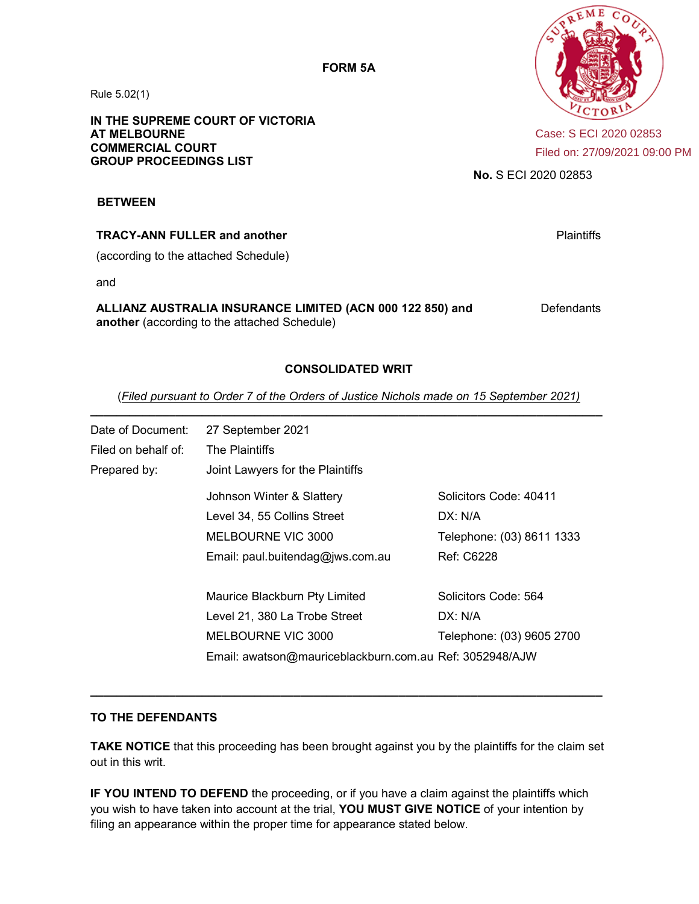Rule 5.02(1)

**IN THE SUPREME COURT OF VICTORIA AT MELBOURNE COMMERCIAL COURT GROUP PROCEEDINGS LIST**



Case: S ECI 2020 02853 Filed on: 27/09/2021 09:00 PM

**No.** S ECI 2020 02853

#### **BETWEEN**

#### **TRACY-ANN FULLER and another**

(according to the attached Schedule)

and

# **ALLIANZ AUSTRALIA INSURANCE LIMITED (ACN 000 122 850) and**

**another** (according to the attached Schedule)

**Defendants** 

Plaintiffs

### **CONSOLIDATED WRIT**

(*Filed pursuant to Order 7 of the Orders of Justice Nichols made on 15 September 2021)*  **\_\_\_\_\_\_\_\_\_\_\_\_\_\_\_\_\_\_\_\_\_\_\_\_\_\_\_\_\_\_\_\_\_\_\_\_\_\_\_\_\_\_\_\_\_\_\_\_\_\_\_\_\_\_\_\_\_\_\_\_\_\_\_\_\_\_\_\_\_\_\_\_\_\_\_\_\_\_** 

| Date of Document:   | 27 September 2021                                       |                           |  |
|---------------------|---------------------------------------------------------|---------------------------|--|
| Filed on behalf of: | The Plaintiffs                                          |                           |  |
| Prepared by:        | Joint Lawyers for the Plaintiffs                        |                           |  |
|                     | Johnson Winter & Slattery                               | Solicitors Code: 40411    |  |
|                     | Level 34, 55 Collins Street                             | DX: N/A                   |  |
|                     | MELBOURNE VIC 3000                                      | Telephone: (03) 8611 1333 |  |
|                     | Email: paul.buitendag@jws.com.au                        | <b>Ref: C6228</b>         |  |
|                     | Maurice Blackburn Pty Limited                           | Solicitors Code: 564      |  |
|                     | Level 21, 380 La Trobe Street                           | DX: N/A                   |  |
|                     | MELBOURNE VIC 3000                                      | Telephone: (03) 9605 2700 |  |
|                     | Email: awatson@mauriceblackburn.com.au Ref: 3052948/AJW |                           |  |

#### **TO THE DEFENDANTS**

**TAKE NOTICE** that this proceeding has been brought against you by the plaintiffs for the claim set out in this writ.

**\_\_\_\_\_\_\_\_\_\_\_\_\_\_\_\_\_\_\_\_\_\_\_\_\_\_\_\_\_\_\_\_\_\_\_\_\_\_\_\_\_\_\_\_\_\_\_\_\_\_\_\_\_\_\_\_\_\_\_\_\_\_\_\_\_\_\_\_\_\_\_\_\_\_\_\_\_\_** 

**IF YOU INTEND TO DEFEND** the proceeding, or if you have a claim against the plaintiffs which you wish to have taken into account at the trial, **YOU MUST GIVE NOTICE** of your intention by filing an appearance within the proper time for appearance stated below.

**FORM 5A**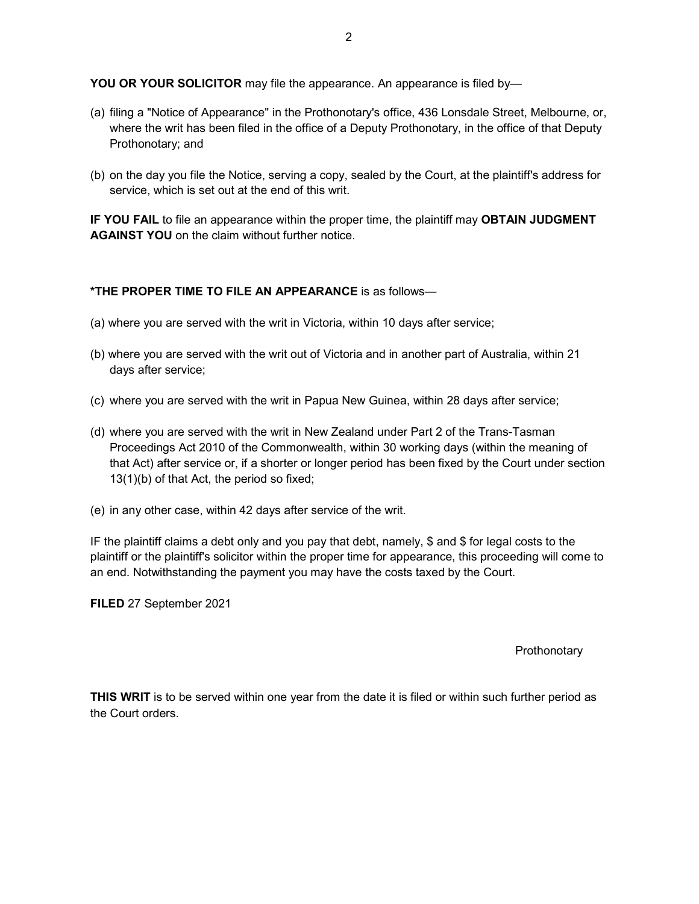**YOU OR YOUR SOLICITOR** may file the appearance. An appearance is filed by—

- (a) filing a "Notice of Appearance" in the Prothonotary's office, 436 Lonsdale Street, Melbourne, or, where the writ has been filed in the office of a Deputy Prothonotary, in the office of that Deputy Prothonotary; and
- (b) on the day you file the Notice, serving a copy, sealed by the Court, at the plaintiff's address for service, which is set out at the end of this writ.

**IF YOU FAIL** to file an appearance within the proper time, the plaintiff may **OBTAIN JUDGMENT AGAINST YOU** on the claim without further notice.

#### **\*THE PROPER TIME TO FILE AN APPEARANCE** is as follows—

- (a) where you are served with the writ in Victoria, within 10 days after service;
- (b) where you are served with the writ out of Victoria and in another part of Australia, within 21 days after service;
- (c) where you are served with the writ in Papua New Guinea, within 28 days after service;
- (d) where you are served with the writ in New Zealand under Part 2 of the Trans-Tasman Proceedings Act 2010 of the Commonwealth, within 30 working days (within the meaning of that Act) after service or, if a shorter or longer period has been fixed by the Court under section 13(1)(b) of that Act, the period so fixed;
- (e) in any other case, within 42 days after service of the writ.

IF the plaintiff claims a debt only and you pay that debt, namely, \$ and \$ for legal costs to the plaintiff or the plaintiff's solicitor within the proper time for appearance, this proceeding will come to an end. Notwithstanding the payment you may have the costs taxed by the Court.

**FILED** 27 September 2021

#### **Prothonotary**

**THIS WRIT** is to be served within one year from the date it is filed or within such further period as the Court orders.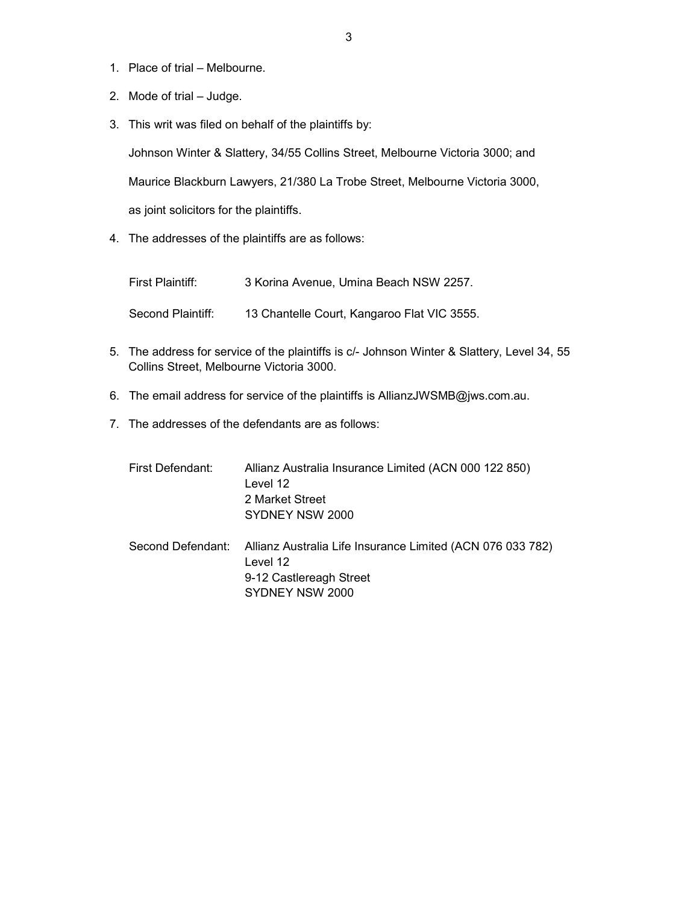- 1. Place of trial Melbourne.
- 2. Mode of trial Judge.
- 3. This writ was filed on behalf of the plaintiffs by:

Johnson Winter & Slattery, 34/55 Collins Street, Melbourne Victoria 3000; and Maurice Blackburn Lawyers, 21/380 La Trobe Street, Melbourne Victoria 3000, as joint solicitors for the plaintiffs.

4. The addresses of the plaintiffs are as follows:

| First Plaintiff:  | 3 Korina Avenue, Umina Beach NSW 2257.      |
|-------------------|---------------------------------------------|
| Second Plaintiff: | 13 Chantelle Court, Kangaroo Flat VIC 3555. |

- 5. The address for service of the plaintiffs is c/- Johnson Winter & Slattery, Level 34, 55 Collins Street, Melbourne Victoria 3000.
- 6. The email address for service of the plaintiffs is AllianzJWSMB@jws.com.au.
- 7. The addresses of the defendants are as follows:

| First Defendant:  | Allianz Australia Insurance Limited (ACN 000 122 850)<br>Level 12<br>2 Market Street<br>SYDNEY NSW 2000              |
|-------------------|----------------------------------------------------------------------------------------------------------------------|
| Second Defendant: | Allianz Australia Life Insurance Limited (ACN 076 033 782)<br>Level 12<br>9-12 Castlereagh Street<br>SYDNEY NSW 2000 |